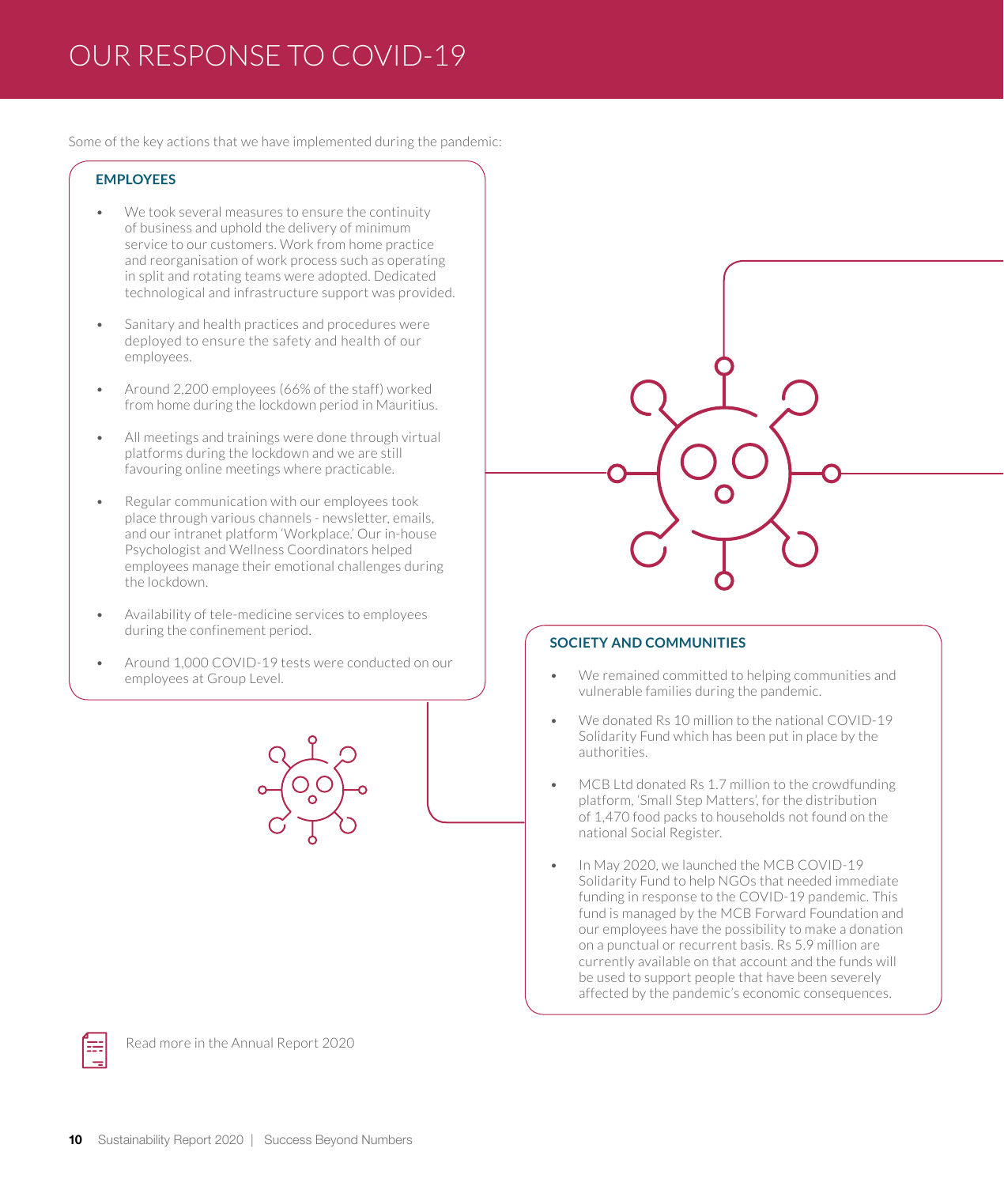# OUR RESPONSE TO COVID-19

Some of the key actions that we have implemented during the pandemic:

## **EMPLOYEES**

- We took several measures to ensure the continuity of business and uphold the delivery of minimum service to our customers. Work from home practice and reorganisation of work process such as operating in split and rotating teams were adopted. Dedicated technological and infrastructure support was provided.
- Sanitary and health practices and procedures were deployed to ensure the safety and health of our employees.
- Around 2,200 employees (66% of the staff) worked from home during the lockdown period in Mauritius.
- All meetings and trainings were done through virtual platforms during the lockdown and we are still favouring online meetings where practicable.
- Regular communication with our employees took place through various channels - newsletter, emails, and our intranet platform 'Workplace.' Our in-house Psychologist and Wellness Coordinators helped employees manage their emotional challenges during the lockdown.
- Availability of tele-medicine services to employees during the confinement period.
- Around 1,000 COVID-19 tests were conducted on our employees at Group Level.





## **SOCIETY AND COMMUNITIES**

- We remained committed to helping communities and vulnerable families during the pandemic.
- We donated Rs 10 million to the national COVID-19 Solidarity Fund which has been put in place by the authorities.
- MCB Ltd donated Rs 1.7 million to the crowdfunding platform, 'Small Step Matters', for the distribution of 1,470 food packs to households not found on the national Social Register.
- In May 2020, we launched the MCB COVID-19 Solidarity Fund to help NGOs that needed immediate funding in response to the COVID-19 pandemic. This fund is managed by the MCB Forward Foundation and our employees have the possibility to make a donation on a punctual or recurrent basis. Rs 5.9 million are currently available on that account and the funds will be used to support people that have been severely affected by the pandemic's economic consequences.



Read more in the Annual Report 2020